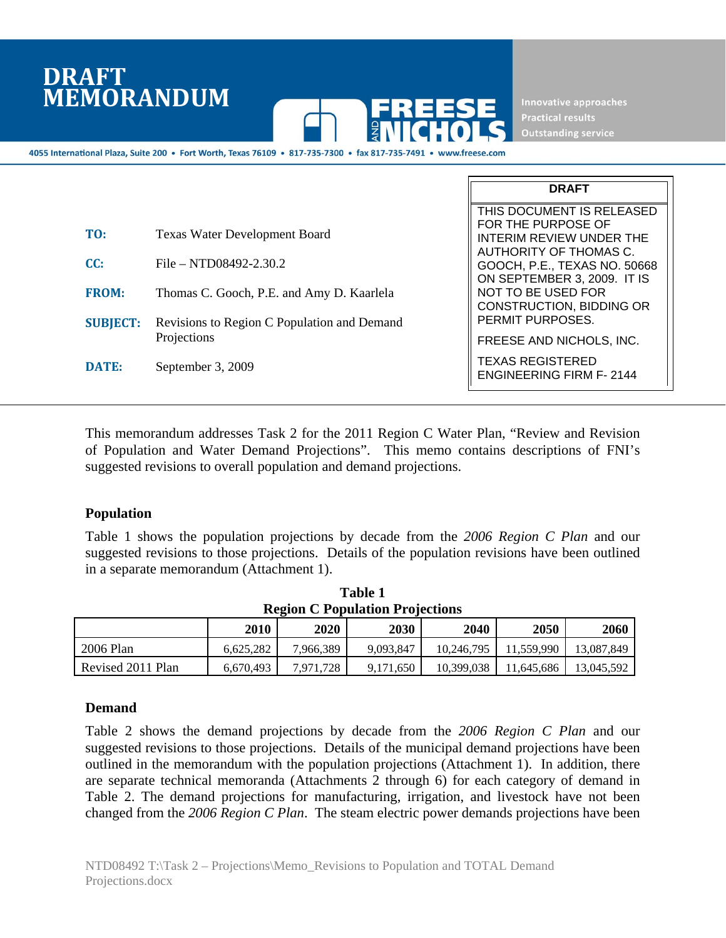## **DRAFT MEMORANDUM**



Innovative approaches **Outstanding service** 

**DRAFT** 

4055 International Plaza, Suite 200 · Fort Worth, Texas 76109 · 817-735-7300 · fax 817-735-7491 ·

|                 |                                             | THIS DOCUMENT IS RELEASED                                                            |
|-----------------|---------------------------------------------|--------------------------------------------------------------------------------------|
| TO:             | <b>Texas Water Development Board</b>        | FOR THE PURPOSE OF<br><b>INTERIM REVIEW UNDER THE</b><br>AUTHORITY OF THOMAS C.      |
| CC:             | File – NTD08492-2.30.2                      | GOOCH, P.E., TEXAS NO. 50668                                                         |
| <b>FROM:</b>    | Thomas C. Gooch, P.E. and Amy D. Kaarlela   | ON SEPTEMBER 3, 2009. IT IS<br>NOT TO BE USED FOR<br><b>CONSTRUCTION, BIDDING OR</b> |
| <b>SUBJECT:</b> | Revisions to Region C Population and Demand | PERMIT PURPOSES.                                                                     |
|                 | Projections                                 | FREESE AND NICHOLS, INC.                                                             |
| DATE:           | September 3, 2009                           | <b>TEXAS REGISTERED</b><br><b>ENGINEERING FIRM F-2144</b>                            |

This memorandum addresses Task 2 for the 2011 Region C Water Plan, "Review and Revision of Population and Water Demand Projections". This memo contains descriptions of FNI's suggested revisions to overall population and demand projections.

## **Population**

Table 1 shows the population projections by decade from the *2006 Region C Plan* and our suggested revisions to those projections. Details of the population revisions have been outlined in a separate memorandum (Attachment 1).

| <b>Region C Population Projections</b> |           |             |           |            |            |            |
|----------------------------------------|-----------|-------------|-----------|------------|------------|------------|
|                                        | 2010      | <b>2020</b> | 2030      | 2040       | 2050       | 2060       |
| 2006 Plan                              | 6.625.282 | 7,966,389   | 9.093.847 | 10.246.795 | 11.559.990 | 13.087.849 |
| Revised 2011 Plan                      | 6.670.493 | 7.971.728   | 9.171.650 | 10.399.038 | 11.645.686 | 13.045.592 |

|                                        | Table 1 |  |  |  |  |
|----------------------------------------|---------|--|--|--|--|
| <b>Region C Population Projections</b> |         |  |  |  |  |
|                                        |         |  |  |  |  |

## **Demand**

Table 2 shows the demand projections by decade from the *2006 Region C Plan* and our suggested revisions to those projections. Details of the municipal demand projections have been outlined in the memorandum with the population projections (Attachment 1). In addition, there are separate technical memoranda (Attachments 2 through 6) for each category of demand in Table 2. The demand projections for manufacturing, irrigation, and livestock have not been changed from the *2006 Region C Plan*. The steam electric power demands projections have been